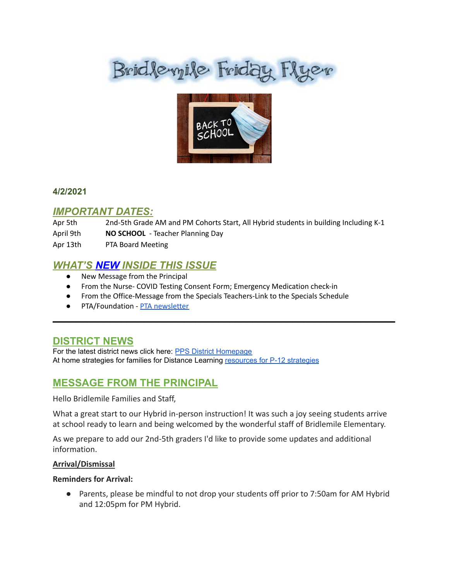# Brid levyile Friday Flyer



### **4/2/2021**

### *IMPORTANT DATES:*

Apr 5th 2nd-5th Grade AM and PM Cohorts Start, All Hybrid students in building Including K-1 April 9th **NO SCHOOL** - Teacher Planning Day Apr 13th PTA Board Meeting

### *WHAT'S NEW INSIDE THIS ISSUE*

- New Message from the Principal
- From the Nurse- COVID Testing Consent Form; Emergency Medication check-in
- From the Office-Message from the Specials Teachers-Link to the Specials Schedule

 $\mathcal{L}_\text{max}$  and  $\mathcal{L}_\text{max}$  and  $\mathcal{L}_\text{max}$  and  $\mathcal{L}_\text{max}$  and  $\mathcal{L}_\text{max}$  and  $\mathcal{L}_\text{max}$ 

● PTA/Foundation - PTA [newsletter](https://docs.google.com/document/d/e/2PACX-1vQlZCPHtKxqO7qpJwiwgoeaZ1ERHVLgg6z0JNYJMTulwn7xlOVY_X2I1ZV9nntsGHP57LEZ_uSufaFj/pub)

### **DISTRICT NEWS**

For the latest district news click here: PPS District [Homepage](https://www.pps.net/portland) At home strategies for families for Distance Learning [resources](https://sites.google.com/pps.net/athomestrategies/home) for P-12 strategies

### **MESSAGE FROM THE PRINCIPAL**

Hello Bridlemile Families and Staff,

What a great start to our Hybrid in-person instruction! It was such a joy seeing students arrive at school ready to learn and being welcomed by the wonderful staff of Bridlemile Elementary.

As we prepare to add our 2nd-5th graders I'd like to provide some updates and additional information.

#### **Arrival/Dismissal**

#### **Reminders for Arrival:**

● Parents, please be mindful to not drop your students off prior to 7:50am for AM Hybrid and 12:05pm for PM Hybrid.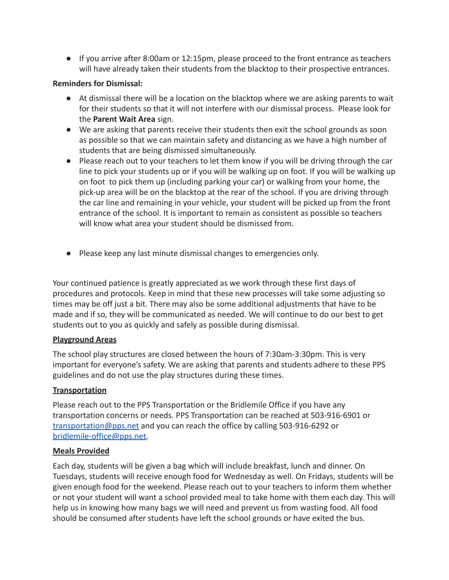● If you arrive after 8:00am or 12:15pm, please proceed to the front entrance as teachers will have already taken their students from the blacktop to their prospective entrances.

### **Reminders for Dismissal:**

- At dismissal there will be a location on the blacktop where we are asking parents to wait for their students so that it will not interfere with our dismissal process. Please look for the **Parent Wait Area** sign.
- We are asking that parents receive their students then exit the school grounds as soon as possible so that we can maintain safety and distancing as we have a high number of students that are being dismissed simultaneously.
- Please reach out to your teachers to let them know if you will be driving through the car line to pick your students up or if you will be walking up on foot. If you will be walking up on foot to pick them up (including parking your car) or walking from your home, the pick-up area will be on the blacktop at the rear of the school. If you are driving through the car line and remaining in your vehicle, your student will be picked up from the front entrance of the school. It is important to remain as consistent as possible so teachers will know what area your student should be dismissed from.
- Please keep any last minute dismissal changes to emergencies only.

Your continued patience is greatly appreciated as we work through these first days of procedures and protocols. Keep in mind that these new processes will take some adjusting so times may be off just a bit. There may also be some additional adjustments that have to be made and if so, they will be communicated as needed. We will continue to do our best to get students out to you as quickly and safely as possible during dismissal.

### **Playground Areas**

The school play structures are closed between the hours of 7:30am-3:30pm. This is very important for everyone's safety. We are asking that parents and students adhere to these PPS guidelines and do not use the play structures during these times.

### **Transportation**

Please reach out to the PPS Transportation or the Bridlemile Office if you have any transportation concerns or needs. PPS Transportation can be reached at 503-916-6901 or [transportation@pps.net](mailto:transportation@pps.net) and you can reach the office by calling 503-916-6292 or [bridlemile-office@pps.net.](mailto:bridlemile-office@pps.net)

### **Meals Provided**

Each day, students will be given a bag which will include breakfast, lunch and dinner. On Tuesdays, students will receive enough food for Wednesday as well. On Fridays, students will be given enough food for the weekend. Please reach out to your teachers to inform them whether or not your student will want a school provided meal to take home with them each day. This will help us in knowing how many bags we will need and prevent us from wasting food. All food should be consumed after students have left the school grounds or have exited the bus.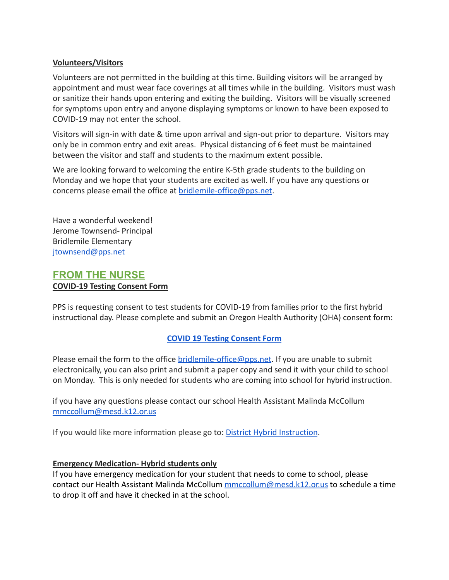### **Volunteers/Visitors**

Volunteers are not permitted in the building at this time. Building visitors will be arranged by appointment and must wear face coverings at all times while in the building. Visitors must wash or sanitize their hands upon entering and exiting the building. Visitors will be visually screened for symptoms upon entry and anyone displaying symptoms or known to have been exposed to COVID-19 may not enter the school.

Visitors will sign-in with date & time upon arrival and sign-out prior to departure. Visitors may only be in common entry and exit areas. Physical distancing of 6 feet must be maintained between the visitor and staff and students to the maximum extent possible.

We are looking forward to welcoming the entire K-5th grade students to the building on Monday and we hope that your students are excited as well. If you have any questions or concerns please email the office at [bridlemile-office@pps.net](mailto:bridlemile-office@pps.net).

Have a wonderful weekend! Jerome Townsend- Principal Bridlemile Elementary jtownsend@pps.net

### **FROM THE NURSE COVID-19 Testing Consent Form**

PPS is requesting consent to test students for COVID-19 from families prior to the first hybrid instructional day. Please complete and submit an Oregon Health Authority (OHA) consent form:

### **[COVID 19 Testing Consent Form](https://sharedsystems.dhsoha.state.or.us/DHSForms/Served/le3560B.pdf)**

Please email the form to the office [bridlemile-office@pps.net](mailto:bridlemile-office@pps.net). If you are unable to submit electronically, you can also print and submit a paper copy and send it with your child to school on Monday. This is only needed for students who are coming into school for hybrid instruction.

if you have any questions please contact our school Health Assistant Malinda McCollum [mmccollum@mesd.k12.or.us](mailto:mmccollum@mesd.k12.or.us)

If you would like more information please go to: District [Hybrid Instruction](https://www.pps.net/site/default.aspx?PageType=3&DomainID=4&ModuleInstanceID=1492&PageModuleInstanceID=1594&ViewID=ad4d6d9d-7046-48e7-a548-a6a23a68d076&RenderLoc=0&FlexDataID=164316&PageID=1&IsMoreExpandedView=True).

#### **Emergency Medication- Hybrid students only**

If you have emergency medication for your student that needs to come to school, please contact our Health Assistant Malinda McCollum [mmccollum@mesd.k12.or.us](mailto:mmccollum@mesd.k12.or.us) to schedule a time to drop it off and have it checked in at the school.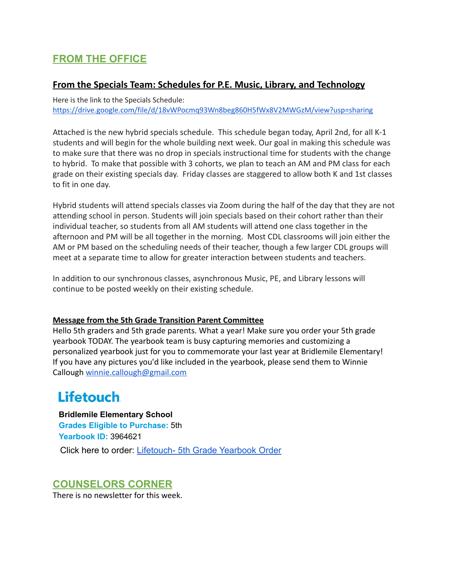### **FROM THE OFFICE**

### **From the Specials Team: Schedules for P.E. Music, Library, and Technology**

Here is the link to the Specials Schedule: <https://drive.google.com/file/d/18vWPocmq93Wn8beg860H5fWx8V2MWGzM/view?usp=sharing>

Attached is the new hybrid specials schedule. This schedule began today, April 2nd, for all K-1 students and will begin for the whole building next week. Our goal in making this schedule was to make sure that there was no drop in specials instructional time for students with the change to hybrid. To make that possible with 3 cohorts, we plan to teach an AM and PM class for each grade on their existing specials day. Friday classes are staggered to allow both K and 1st classes to fit in one day.

Hybrid students will attend specials classes via Zoom during the half of the day that they are not attending school in person. Students will join specials based on their cohort rather than their individual teacher, so students from all AM students will attend one class together in the afternoon and PM will be all together in the morning. Most CDL classrooms will join either the AM or PM based on the scheduling needs of their teacher, though a few larger CDL groups will meet at a separate time to allow for greater interaction between students and teachers.

In addition to our synchronous classes, asynchronous Music, PE, and Library lessons will continue to be posted weekly on their existing schedule.

### **Message from the 5th Grade Transition Parent Committee**

Hello 5th graders and 5th grade parents. What a year! Make sure you order your 5th grade yearbook TODAY. The yearbook team is busy capturing memories and customizing a personalized yearbook just for you to commemorate your last year at Bridlemile Elementary! If you have any pictures you'd like included in the yearbook, please send them to Winnie Callough [winnie.callough@gmail.com](mailto:winnie.callough@gmail.com)

## **Lifetouch**

**Bridlemile Elementary School Grades Eligible to Purchase:** 5th **Yearbook ID:** 3964621 Click here to order: [Lifetouch- 5th Grade Yearbook](https://ybpay.lifetouch.com/Order/SelectJob?jobNumber=3964621&utm_medium=email%e2%80%8b&utm_source=ExactTarget%e2%80%8b&utm_campaign=PUB21YBFEB_NB-R1%e2%80%8b&utm_content=CTA1) Order

### **COUNSELORS CORNER**

There is no newsletter for this week.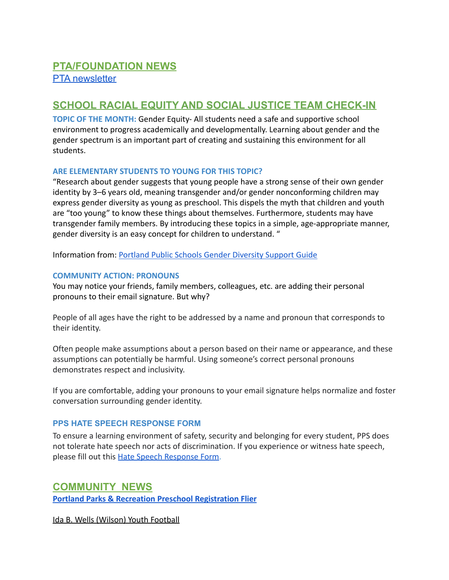### **SCHOOL RACIAL EQUITY AND SOCIAL JUSTICE TEAM CHECK-IN**

**TOPIC OF THE MONTH:** Gender Equity- All students need a safe and supportive school environment to progress academically and developmentally. Learning about gender and the gender spectrum is an important part of creating and sustaining this environment for all students.

### **ARE ELEMENTARY STUDENTS TO YOUNG FOR THIS TOPIC?**

"Research about gender suggests that young people have a strong sense of their own gender identity by 3–6 years old, meaning transgender and/or gender nonconforming children may express gender diversity as young as preschool. This dispels the myth that children and youth are "too young" to know these things about themselves. Furthermore, students may have transgender family members. By introducing these topics in a simple, age-appropriate manner, gender diversity is an easy concept for children to understand. "

Information from: [Portland Public Schools Gender Diversity](https://www.pps.net/cms/lib/OR01913224/Centricity/Domain/44/Family%20Community%20Resources%20and%20FAQ_PrintVersion.pdf) Support Guide

### **COMMUNITY ACTION: PRONOUNS**

You may notice your friends, family members, colleagues, etc. are adding their personal pronouns to their email signature. But why?

People of all ages have the right to be addressed by a name and pronoun that corresponds to their identity.

Often people make assumptions about a person based on their name or appearance, and these assumptions can potentially be harmful. Using someone's correct personal pronouns demonstrates respect and inclusivity.

If you are comfortable, adding your pronouns to your email signature helps normalize and foster conversation surrounding gender identity.

### **PPS HATE SPEECH RESPONSE FORM**

To ensure a learning environment of safety, security and belonging for every student, PPS does not tolerate hate speech nor acts of discrimination. If you experience or witness hate speech, please fill out this [Hate Speech Response Form.](https://docs.google.com/forms/d/e/1FAIpQLScBgOKMOV-xv4yfPk9DnciUMqkQ7E_Us3JaXcTf_lUIUmWnoA/viewform)

### **COMMUNITY NEWS**

**[Portland Parks & Recreation Preschool Registration](https://www.pps.net/cms/lib/OR01913224/Centricity/Domain/4/Portland_Parks_Preschool_2021-22_Registration.pdf) Flier**

Ida B. Wells (Wilson) Youth Football